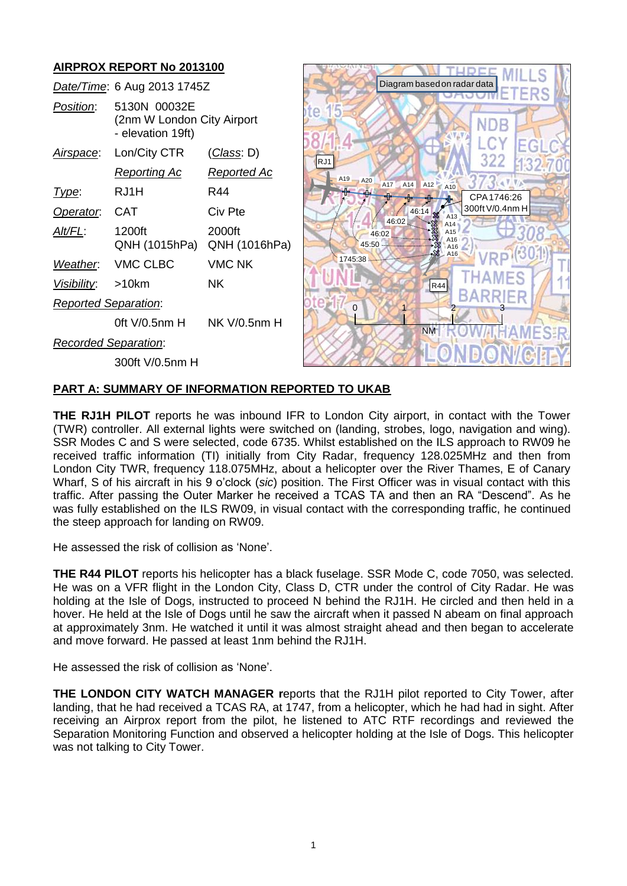

# **PART A: SUMMARY OF INFORMATION REPORTED TO UKAB**

**THE RJ1H PILOT** reports he was inbound IFR to London City airport, in contact with the Tower (TWR) controller. All external lights were switched on (landing, strobes, logo, navigation and wing). SSR Modes C and S were selected, code 6735. Whilst established on the ILS approach to RW09 he received traffic information (TI) initially from City Radar, frequency 128.025MHz and then from London City TWR, frequency 118.075MHz, about a helicopter over the River Thames, E of Canary Wharf, S of his aircraft in his 9 o'clock (*sic*) position. The First Officer was in visual contact with this traffic. After passing the Outer Marker he received a TCAS TA and then an RA "Descend". As he was fully established on the ILS RW09, in visual contact with the corresponding traffic, he continued the steep approach for landing on RW09.

He assessed the risk of collision as 'None'.

**THE R44 PILOT** reports his helicopter has a black fuselage. SSR Mode C, code 7050, was selected. He was on a VFR flight in the London City, Class D, CTR under the control of City Radar. He was holding at the Isle of Dogs, instructed to proceed N behind the RJ1H. He circled and then held in a hover. He held at the Isle of Dogs until he saw the aircraft when it passed N abeam on final approach at approximately 3nm. He watched it until it was almost straight ahead and then began to accelerate and move forward. He passed at least 1nm behind the RJ1H.

He assessed the risk of collision as 'None'.

**THE LONDON CITY WATCH MANAGER r**eports that the RJ1H pilot reported to City Tower, after landing, that he had received a TCAS RA, at 1747, from a helicopter, which he had had in sight. After receiving an Airprox report from the pilot, he listened to ATC RTF recordings and reviewed the Separation Monitoring Function and observed a helicopter holding at the Isle of Dogs. This helicopter was not talking to City Tower.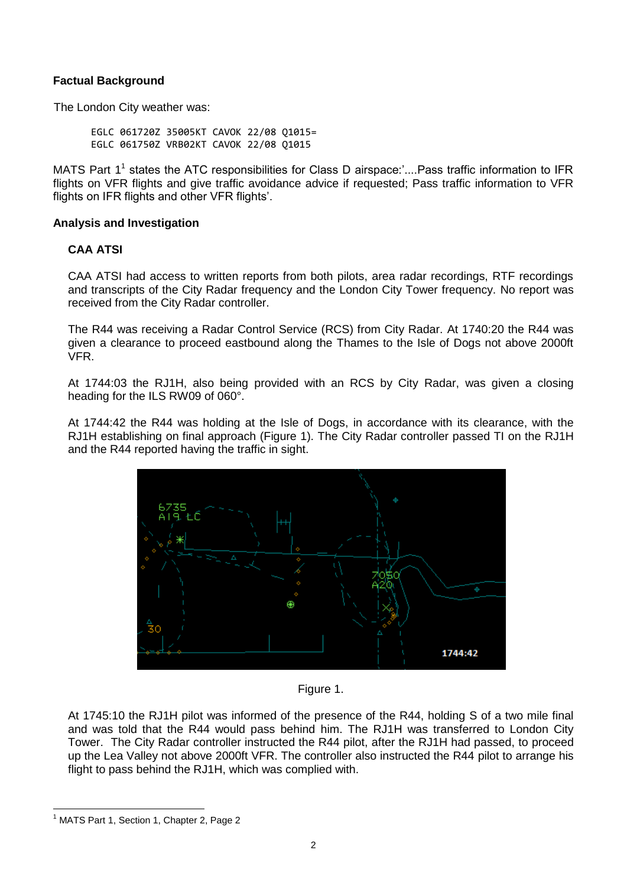## **Factual Background**

The London City weather was:

EGLC 061720Z 35005KT CAVOK 22/08 Q1015= EGLC 061750Z VRB02KT CAVOK 22/08 Q1015

MATS Part 1<sup>1</sup> states the ATC responsibilities for Class D airspace:'....Pass traffic information to IFR flights on VFR flights and give traffic avoidance advice if requested; Pass traffic information to VFR flights on IFR flights and other VFR flights'.

#### **Analysis and Investigation**

## **CAA ATSI**

CAA ATSI had access to written reports from both pilots, area radar recordings, RTF recordings and transcripts of the City Radar frequency and the London City Tower frequency. No report was received from the City Radar controller.

The R44 was receiving a Radar Control Service (RCS) from City Radar. At 1740:20 the R44 was given a clearance to proceed eastbound along the Thames to the Isle of Dogs not above 2000ft VFR.

At 1744:03 the RJ1H, also being provided with an RCS by City Radar, was given a closing heading for the ILS RW09 of 060°.

At 1744:42 the R44 was holding at the Isle of Dogs, in accordance with its clearance, with the RJ1H establishing on final approach (Figure 1). The City Radar controller passed TI on the RJ1H and the R44 reported having the traffic in sight.





At 1745:10 the RJ1H pilot was informed of the presence of the R44, holding S of a two mile final and was told that the R44 would pass behind him. The RJ1H was transferred to London City Tower. The City Radar controller instructed the R44 pilot, after the RJ1H had passed, to proceed up the Lea Valley not above 2000ft VFR. The controller also instructed the R44 pilot to arrange his flight to pass behind the RJ1H, which was complied with.

 $\overline{a}$ 

<sup>&</sup>lt;sup>1</sup> MATS Part 1, Section 1, Chapter 2, Page 2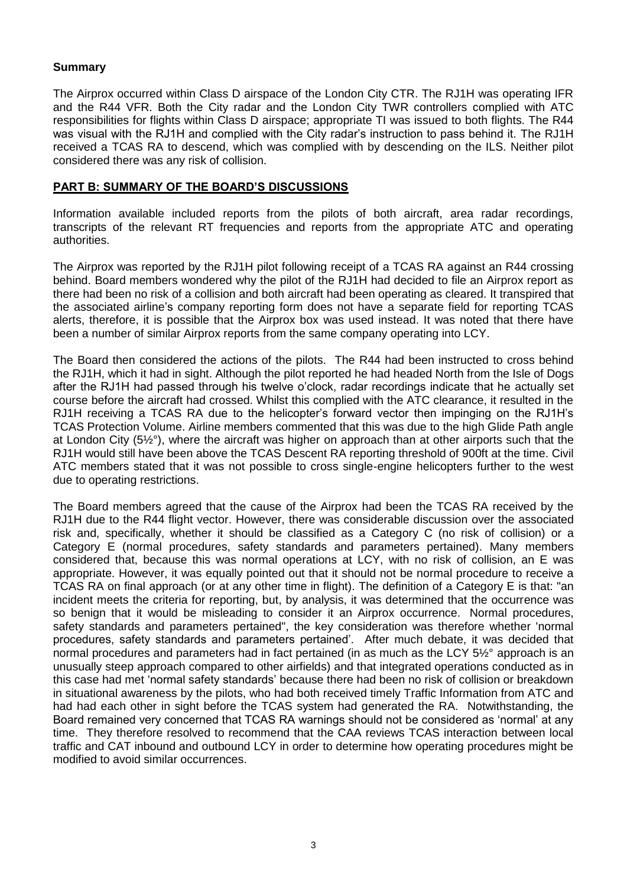# **Summary**

The Airprox occurred within Class D airspace of the London City CTR. The RJ1H was operating IFR and the R44 VFR. Both the City radar and the London City TWR controllers complied with ATC responsibilities for flights within Class D airspace; appropriate TI was issued to both flights. The R44 was visual with the RJ1H and complied with the City radar's instruction to pass behind it. The RJ1H received a TCAS RA to descend, which was complied with by descending on the ILS. Neither pilot considered there was any risk of collision.

#### **PART B: SUMMARY OF THE BOARD'S DISCUSSIONS**

Information available included reports from the pilots of both aircraft, area radar recordings, transcripts of the relevant RT frequencies and reports from the appropriate ATC and operating authorities.

The Airprox was reported by the RJ1H pilot following receipt of a TCAS RA against an R44 crossing behind. Board members wondered why the pilot of the RJ1H had decided to file an Airprox report as there had been no risk of a collision and both aircraft had been operating as cleared. It transpired that the associated airline's company reporting form does not have a separate field for reporting TCAS alerts, therefore, it is possible that the Airprox box was used instead. It was noted that there have been a number of similar Airprox reports from the same company operating into LCY.

The Board then considered the actions of the pilots. The R44 had been instructed to cross behind the RJ1H, which it had in sight. Although the pilot reported he had headed North from the Isle of Dogs after the RJ1H had passed through his twelve o'clock, radar recordings indicate that he actually set course before the aircraft had crossed. Whilst this complied with the ATC clearance, it resulted in the RJ1H receiving a TCAS RA due to the helicopter's forward vector then impinging on the RJ1H's TCAS Protection Volume. Airline members commented that this was due to the high Glide Path angle at London City (5½°), where the aircraft was higher on approach than at other airports such that the RJ1H would still have been above the TCAS Descent RA reporting threshold of 900ft at the time. Civil ATC members stated that it was not possible to cross single-engine helicopters further to the west due to operating restrictions.

The Board members agreed that the cause of the Airprox had been the TCAS RA received by the RJ1H due to the R44 flight vector. However, there was considerable discussion over the associated risk and, specifically, whether it should be classified as a Category C (no risk of collision) or a Category E (normal procedures, safety standards and parameters pertained). Many members considered that, because this was normal operations at LCY, with no risk of collision, an E was appropriate. However, it was equally pointed out that it should not be normal procedure to receive a TCAS RA on final approach (or at any other time in flight). The definition of a Category E is that: "an incident meets the criteria for reporting, but, by analysis, it was determined that the occurrence was so benign that it would be misleading to consider it an Airprox occurrence. Normal procedures, safety standards and parameters pertained", the key consideration was therefore whether 'normal procedures, safety standards and parameters pertained'. After much debate, it was decided that normal procedures and parameters had in fact pertained (in as much as the LCY 5½° approach is an unusually steep approach compared to other airfields) and that integrated operations conducted as in this case had met 'normal safety standards' because there had been no risk of collision or breakdown in situational awareness by the pilots, who had both received timely Traffic Information from ATC and had had each other in sight before the TCAS system had generated the RA. Notwithstanding, the Board remained very concerned that TCAS RA warnings should not be considered as 'normal' at any time. They therefore resolved to recommend that the CAA reviews TCAS interaction between local traffic and CAT inbound and outbound LCY in order to determine how operating procedures might be modified to avoid similar occurrences.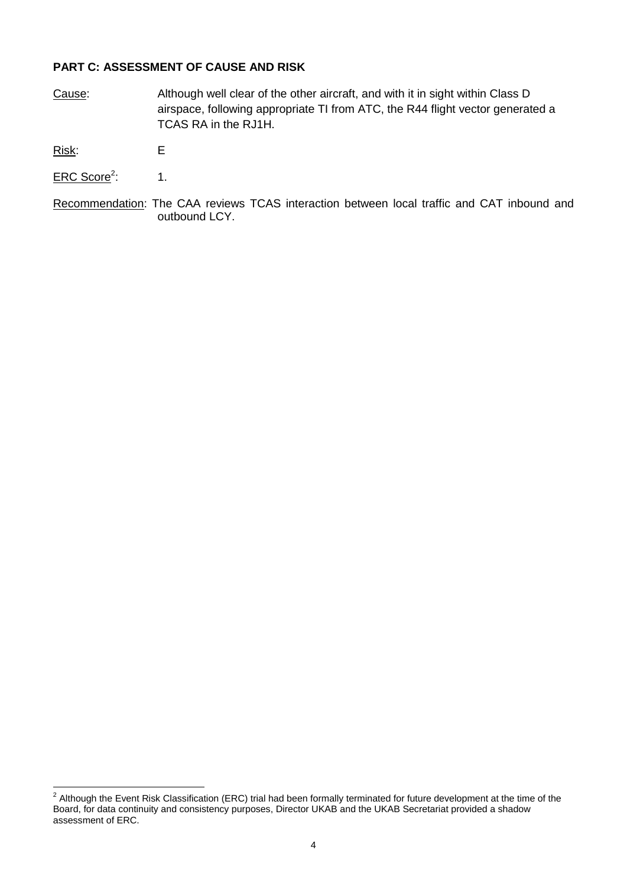# **PART C: ASSESSMENT OF CAUSE AND RISK**

Cause: Although well clear of the other aircraft, and with it in sight within Class D airspace, following appropriate TI from ATC, the R44 flight vector generated a TCAS RA in the RJ1H.

Risk: E

- ERC Score<sup>2</sup>: : 1.
- Recommendation: The CAA reviews TCAS interaction between local traffic and CAT inbound and outbound LCY.

 2 Although the Event Risk Classification (ERC) trial had been formally terminated for future development at the time of the Board, for data continuity and consistency purposes, Director UKAB and the UKAB Secretariat provided a shadow assessment of ERC.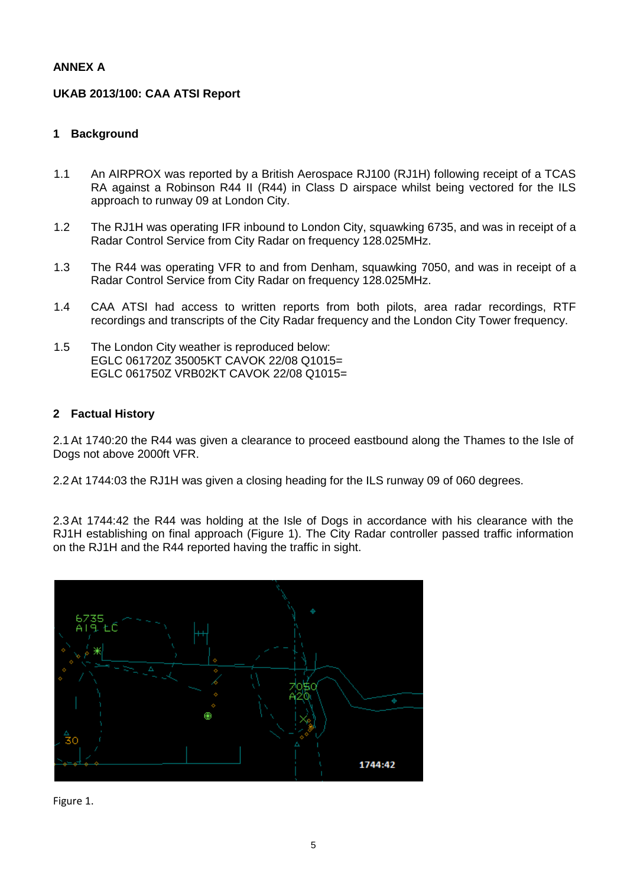# **ANNEX A**

# **UKAB 2013/100: CAA ATSI Report**

# **1 Background**

- 1.1 An AIRPROX was reported by a British Aerospace RJ100 (RJ1H) following receipt of a TCAS RA against a Robinson R44 II (R44) in Class D airspace whilst being vectored for the ILS approach to runway 09 at London City.
- 1.2 The RJ1H was operating IFR inbound to London City, squawking 6735, and was in receipt of a Radar Control Service from City Radar on frequency 128.025MHz.
- 1.3 The R44 was operating VFR to and from Denham, squawking 7050, and was in receipt of a Radar Control Service from City Radar on frequency 128.025MHz.
- 1.4 CAA ATSI had access to written reports from both pilots, area radar recordings, RTF recordings and transcripts of the City Radar frequency and the London City Tower frequency.
- 1.5 The London City weather is reproduced below: EGLC 061720Z 35005KT CAVOK 22/08 Q1015= EGLC 061750Z VRB02KT CAVOK 22/08 Q1015=

## **2 Factual History**

2.1At 1740:20 the R44 was given a clearance to proceed eastbound along the Thames to the Isle of Dogs not above 2000ft VFR.

2.2At 1744:03 the RJ1H was given a closing heading for the ILS runway 09 of 060 degrees.

2.3At 1744:42 the R44 was holding at the Isle of Dogs in accordance with his clearance with the RJ1H establishing on final approach (Figure 1). The City Radar controller passed traffic information on the RJ1H and the R44 reported having the traffic in sight.